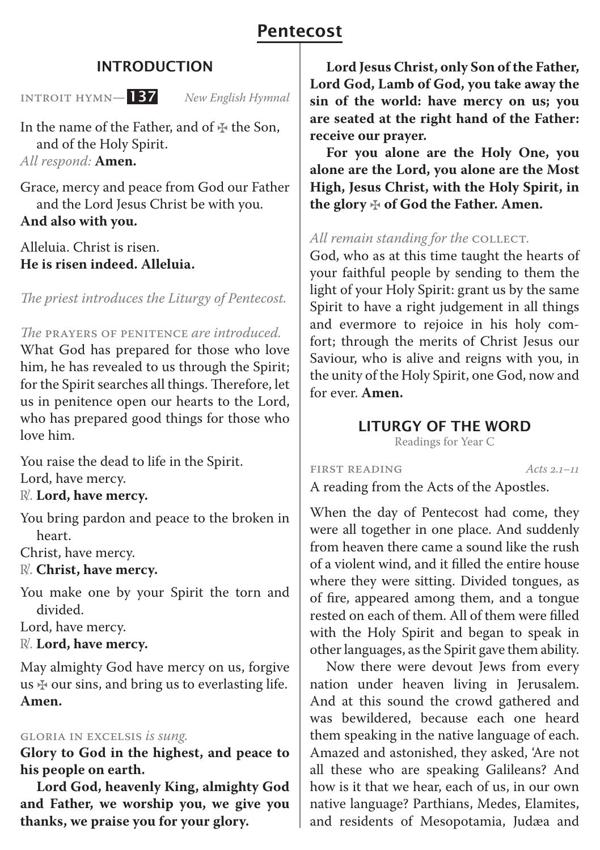# Pentecost

# INTRODUCTION

Introit Hymn*—* 137 *New English Hymnal*

In the name of the Father, and of  $\ddagger$  the Son, and of the Holy Spirit. *All respond:* **Amen.**

Grace, mercy and peace from God our Father and the Lord Jesus Christ be with you. **And also with you.**

Alleluia. Christ is risen. **He is risen indeed. Alleluia.**

*The priest introduces the Liturgy of Pentecost.*

*The* Prayers of Penitence *are introduced.*

What God has prepared for those who love him, he has revealed to us through the Spirit; for the Spirit searches all things. Therefore, let us in penitence open our hearts to the Lord, who has prepared good things for those who love him.

You raise the dead to life in the Spirit. Lord, have mercy.

℟. **Lord, have mercy.**

You bring pardon and peace to the broken in heart.

Christ, have mercy.

R. **Christ, have mercy.** 

You make one by your Spirit the torn and divided.

Lord, have mercy.

℟. **Lord, have mercy.**

May almighty God have mercy on us, forgive us  $\frac{1}{2}$  our sins, and bring us to everlasting life. **Amen.**

#### Gloria in Excelsis *is sung.*

**Glory to God in the highest, and peace to his people on earth.** 

**Lord God, heavenly King, almighty God and Father, we worship you, we give you thanks, we praise you for your glory.** 

**Lord Jesus Christ, only Son of the Father, Lord God, Lamb of God, you take away the sin of the world: have mercy on us; you are seated at the right hand of the Father: receive our prayer.** 

**For you alone are the Holy One, you alone are the Lord, you alone are the Most High, Jesus Christ, with the Holy Spirit, in the glory** ✠ **of God the Father. Amen.**

#### *All remain standing for the COLLECT.*

God, who as at this time taught the hearts of your faithful people by sending to them the light of your Holy Spirit: grant us by the same Spirit to have a right judgement in all things and evermore to rejoice in his holy comfort; through the merits of Christ Jesus our Saviour, who is alive and reigns with you, in the unity of the Holy Spirit, one God, now and for ever. **Amen.**

## LITURGY OF THE WORD

Readings for Year C

First Reading *Acts 2.1–11*

A reading from the Acts of the Apostles.

When the day of Pentecost had come, they were all together in one place. And suddenly from heaven there came a sound like the rush of a violent wind, and it filled the entire house where they were sitting. Divided tongues, as of fire, appeared among them, and a tongue rested on each of them. All of them were filled with the Holy Spirit and began to speak in other languages, as the Spirit gave them ability.

Now there were devout Jews from every nation under heaven living in Jerusalem. And at this sound the crowd gathered and was bewildered, because each one heard them speaking in the native language of each. Amazed and astonished, they asked, 'Are not all these who are speaking Galileans? And how is it that we hear, each of us, in our own native language? Parthians, Medes, Elamites, and residents of Mesopotamia, Judæa and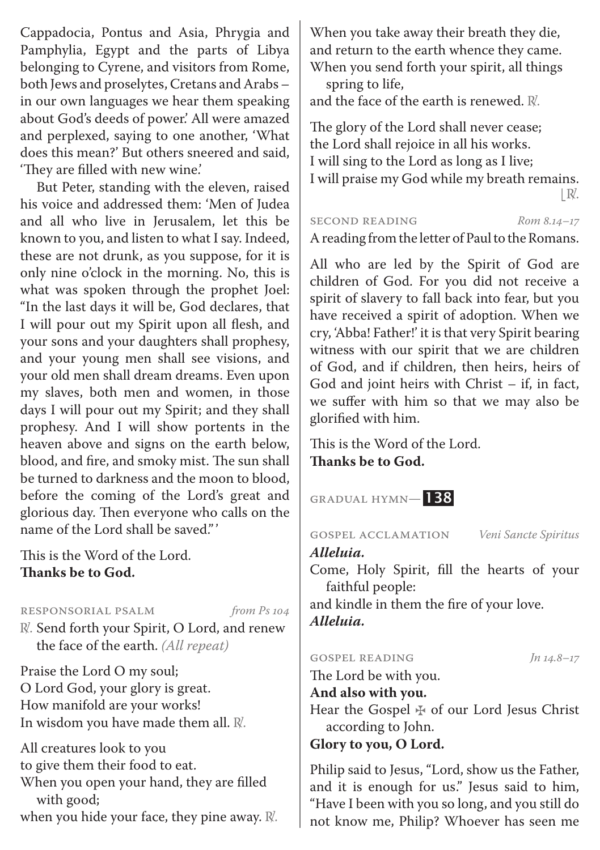Cappadocia, Pontus and Asia, Phrygia and Pamphylia, Egypt and the parts of Libya belonging to Cyrene, and visitors from Rome, both Jews and proselytes, Cretans and Arabs – in our own languages we hear them speaking about God's deeds of power.' All were amazed and perplexed, saying to one another, 'What does this mean?' But others sneered and said, 'They are filled with new wine.'

But Peter, standing with the eleven, raised his voice and addressed them: 'Men of Judea and all who live in Jerusalem, let this be known to you, and listen to what I say. Indeed, these are not drunk, as you suppose, for it is only nine o'clock in the morning. No, this is what was spoken through the prophet Joel: "In the last days it will be, God declares, that I will pour out my Spirit upon all flesh, and your sons and your daughters shall prophesy, and your young men shall see visions, and your old men shall dream dreams. Even upon my slaves, both men and women, in those days I will pour out my Spirit; and they shall prophesy. And I will show portents in the heaven above and signs on the earth below, blood, and fire, and smoky mist. The sun shall be turned to darkness and the moon to blood, before the coming of the Lord's great and glorious day. Then everyone who calls on the name of the Lord shall be saved."'

This is the Word of the Lord. **Thanks be to God.**

#### Responsorial Psalm *from Ps 104*

℟. Send forth your Spirit, O Lord, and renew the face of the earth. *(All repeat)*

Praise the Lord O my soul; O Lord God, your glory is great. How manifold are your works! In wisdom you have made them all. R.

All creatures look to you to give them their food to eat. When you open your hand, they are filled with good; when you hide your face, they pine away.  $\mathbb{R}$ .

When you take away their breath they die, and return to the earth whence they came. When you send forth your spirit, all things spring to life,

and the face of the earth is renewed.  $\mathbb{R}$ .

The glory of the Lord shall never cease; the Lord shall rejoice in all his works. I will sing to the Lord as long as I live; I will praise my God while my breath remains.  $\mathbb{R}.$ 

#### SECOND READING *Rom 8.14-17*

A reading from the letter of Paul to the Romans.

All who are led by the Spirit of God are children of God. For you did not receive a spirit of slavery to fall back into fear, but you have received a spirit of adoption. When we cry, 'Abba! Father!' it is that very Spirit bearing witness with our spirit that we are children of God, and if children, then heirs, heirs of God and joint heirs with Christ – if, in fact, we suffer with him so that we may also be glorified with him.

This is the Word of the Lord. **Thanks be to God.**

Gradual Hymn*—* 138

Gospel Acclamation *Veni Sancte Spiritus*

### *Alleluia.*

Come, Holy Spirit, fill the hearts of your faithful people: and kindle in them the fire of your love. *Alleluia.*

#### GOSPEL READING *Jn 14.8–17*

The Lord be with you.

#### **And also with you.**

Hear the Gospel ✠ of our Lord Jesus Christ according to John.

**Glory to you, O Lord.**

Philip said to Jesus, "Lord, show us the Father, and it is enough for us." Jesus said to him, "Have I been with you so long, and you still do not know me, Philip? Whoever has seen me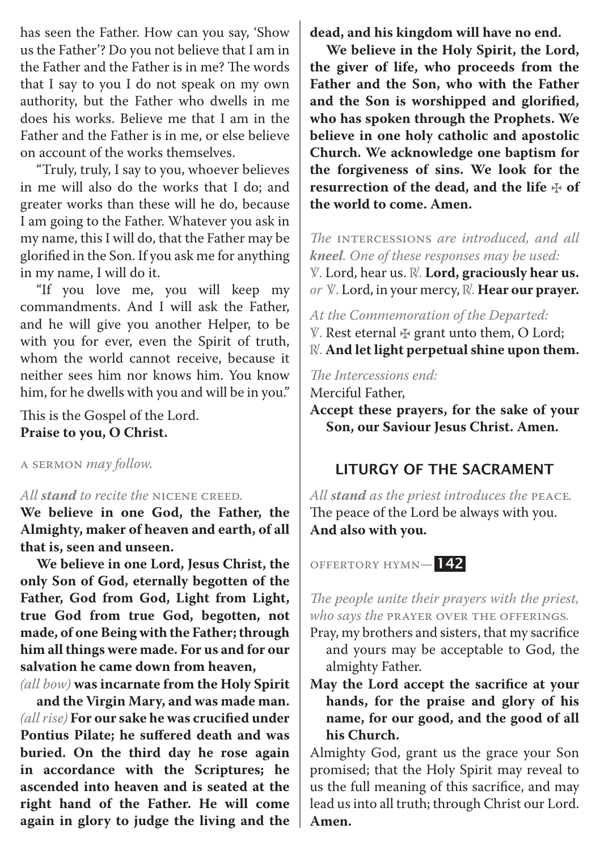has seen the Father. How can you say, 'Show us the Father'? Do you not believe that I am in the Father and the Father is in me? The words that I say to you I do not speak on my own authority, but the Father who dwells in me does his works. Believe me that I am in the Father and the Father is in me, or else believe on account of the works themselves.

"Truly, truly, I say to you, whoever believes in me will also do the works that I do; and greater works than these will he do, because I am going to the Father. Whatever you ask in my name, this I will do, that the Father may be glorified in the Son. If you ask me for anything in my name, I will do it.

"If you love me, you will keep my commandments. And I will ask the Father, and he will give you another Helper, to be with you for ever, even the Spirit of truth, whom the world cannot receive, because it neither sees him nor knows him. You know him, for he dwells with you and will be in you."

This is the Gospel of the Lord. **Praise to you, O Christ.**

A Sermon *may follow.*

### *All stand to recite the* Nicene Creed*.*

**We believe in one God, the Father, the Almighty, maker of heaven and earth, of all that is, seen and unseen.** 

**We believe in one Lord, Jesus Christ, the only Son of God, eternally begotten of the Father, God from God, Light from Light, true God from true God, begotten, not made, of one Being with the Father; through him all things were made. For us and for our salvation he came down from heaven,** 

*(all bow)* **was incarnate from the Holy Spirit** 

**and the Virgin Mary, and was made man.**  *(all rise)* **For our sake he was crucified under Pontius Pilate; he suffered death and was buried. On the third day he rose again in accordance with the Scriptures; he ascended into heaven and is seated at the right hand of the Father. He will come again in glory to judge the living and the** 

**dead, and his kingdom will have no end.** 

**We believe in the Holy Spirit, the Lord, the giver of life, who proceeds from the Father and the Son, who with the Father and the Son is worshipped and glorified, who has spoken through the Prophets. We believe in one holy catholic and apostolic Church. We acknowledge one baptism for the forgiveness of sins. We look for the resurrection of the dead, and the life** ✠ **of the world to come. Amen.**

*The* Intercessions *are introduced, and all kneel. One of these responses may be used:*

℣. Lord, hear us. ℟. **Lord, graciously hear us.** *or* ℣. Lord, in your mercy, ℟. **Hear our prayer.**

*At the Commemoration of the Departed:*

- ℣. Rest eternal ✠ grant unto them, O Lord;
- $\mathbb{R}$ . And let light perpetual shine upon them.

*The Intercessions end:*

Merciful Father,

**Accept these prayers, for the sake of your Son, our Saviour Jesus Christ. Amen.**

# LITURGY OF THE SACRAMENT

*All stand as the priest introduces the* Peace*.*  The peace of the Lord be always with you. **And also with you.**

Offertory Hymn*—* 142

*The people unite their prayers with the priest, who says the* Prayer over the Offerings*.*

Pray, my brothers and sisters, that my sacrifice and yours may be acceptable to God, the almighty Father.

**May the Lord accept the sacrifice at your hands, for the praise and glory of his name, for our good, and the good of all his Church.**

Almighty God, grant us the grace your Son promised; that the Holy Spirit may reveal to us the full meaning of this sacrifice, and may lead us into all truth; through Christ our Lord. **Amen.**